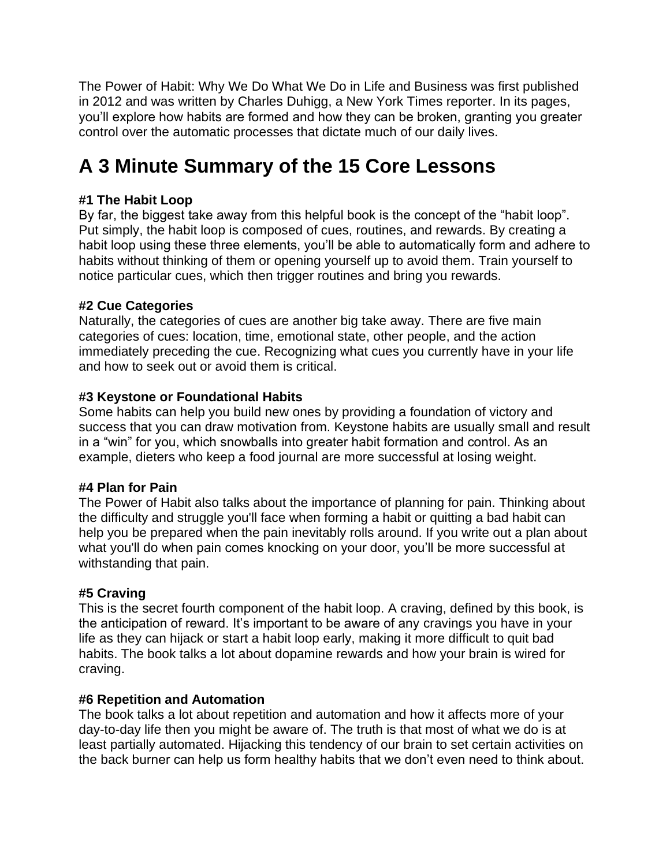The Power of Habit: Why We Do What We Do in Life and Business was first published in 2012 and was written by Charles Duhigg, a New York Times reporter. In its pages, you'll explore how habits are formed and how they can be broken, granting you greater control over the automatic processes that dictate much of our daily lives.

# **A 3 Minute Summary of the 15 Core Lessons**

# **#1 The Habit Loop**

By far, the biggest take away from this helpful book is the concept of the "habit loop". Put simply, the habit loop is composed of cues, routines, and rewards. By creating a habit loop using these three elements, you'll be able to automatically form and adhere to habits without thinking of them or opening yourself up to avoid them. Train yourself to notice particular cues, which then trigger routines and bring you rewards.

# **#2 Cue Categories**

Naturally, the categories of cues are another big take away. There are five main categories of cues: location, time, emotional state, other people, and the action immediately preceding the cue. Recognizing what cues you currently have in your life and how to seek out or avoid them is critical.

# **#3 Keystone or Foundational Habits**

Some habits can help you build new ones by providing a foundation of victory and success that you can draw motivation from. Keystone habits are usually small and result in a "win" for you, which snowballs into greater habit formation and control. As an example, dieters who keep a food journal are more successful at losing weight.

## **#4 Plan for Pain**

The Power of Habit also talks about the importance of planning for pain. Thinking about the difficulty and struggle you'll face when forming a habit or quitting a bad habit can help you be prepared when the pain inevitably rolls around. If you write out a plan about what you'll do when pain comes knocking on your door, you'll be more successful at withstanding that pain.

# **#5 Craving**

This is the secret fourth component of the habit loop. A craving, defined by this book, is the anticipation of reward. It's important to be aware of any cravings you have in your life as they can hijack or start a habit loop early, making it more difficult to quit bad habits. The book talks a lot about dopamine rewards and how your brain is wired for craving.

## **#6 Repetition and Automation**

The book talks a lot about repetition and automation and how it affects more of your day-to-day life then you might be aware of. The truth is that most of what we do is at least partially automated. Hijacking this tendency of our brain to set certain activities on the back burner can help us form healthy habits that we don't even need to think about.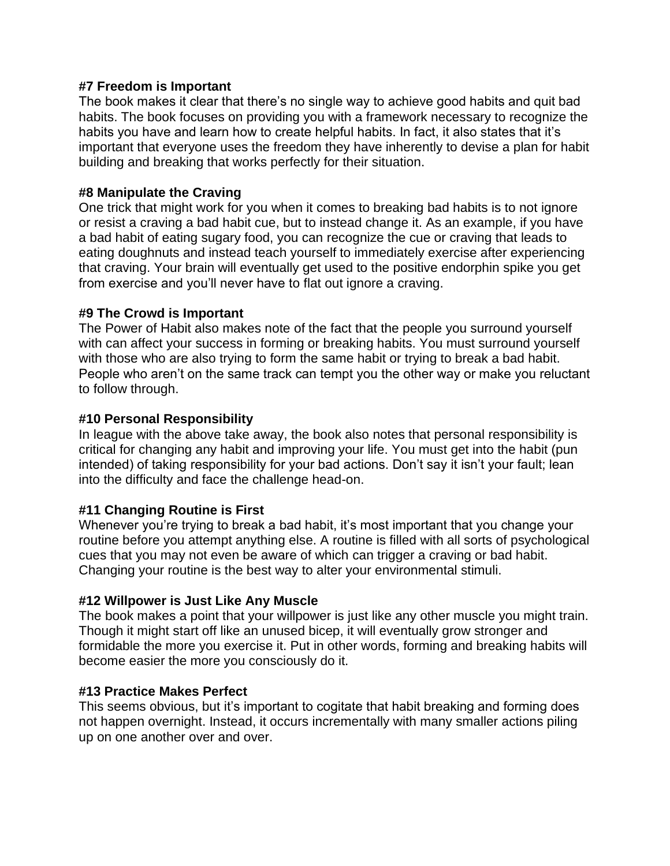### **#7 Freedom is Important**

The book makes it clear that there's no single way to achieve good habits and quit bad habits. The book focuses on providing you with a framework necessary to recognize the habits you have and learn how to create helpful habits. In fact, it also states that it's important that everyone uses the freedom they have inherently to devise a plan for habit building and breaking that works perfectly for their situation.

### **#8 Manipulate the Craving**

One trick that might work for you when it comes to breaking bad habits is to not ignore or resist a craving a bad habit cue, but to instead change it. As an example, if you have a bad habit of eating sugary food, you can recognize the cue or craving that leads to eating doughnuts and instead teach yourself to immediately exercise after experiencing that craving. Your brain will eventually get used to the positive endorphin spike you get from exercise and you'll never have to flat out ignore a craving.

#### **#9 The Crowd is Important**

The Power of Habit also makes note of the fact that the people you surround yourself with can affect your success in forming or breaking habits. You must surround yourself with those who are also trying to form the same habit or trying to break a bad habit. People who aren't on the same track can tempt you the other way or make you reluctant to follow through.

#### **#10 Personal Responsibility**

In league with the above take away, the book also notes that personal responsibility is critical for changing any habit and improving your life. You must get into the habit (pun intended) of taking responsibility for your bad actions. Don't say it isn't your fault; lean into the difficulty and face the challenge head-on.

## **#11 Changing Routine is First**

Whenever you're trying to break a bad habit, it's most important that you change your routine before you attempt anything else. A routine is filled with all sorts of psychological cues that you may not even be aware of which can trigger a craving or bad habit. Changing your routine is the best way to alter your environmental stimuli.

#### **#12 Willpower is Just Like Any Muscle**

The book makes a point that your willpower is just like any other muscle you might train. Though it might start off like an unused bicep, it will eventually grow stronger and formidable the more you exercise it. Put in other words, forming and breaking habits will become easier the more you consciously do it.

#### **#13 Practice Makes Perfect**

This seems obvious, but it's important to cogitate that habit breaking and forming does not happen overnight. Instead, it occurs incrementally with many smaller actions piling up on one another over and over.